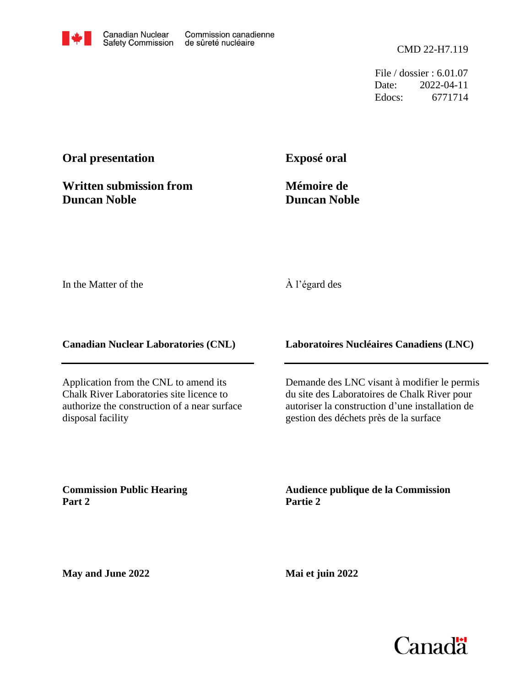File / dossier : 6.01.07 Date: 2022-04-11 Edocs: 6771714

# **Oral presentation**

**Written submission from Duncan Noble**

**Exposé oral**

**Mémoire de Duncan Noble**

In the Matter of the

## À l'égard des

**Canadian Nuclear Laboratories (CNL)**

Application from the CNL to amend its Chalk River Laboratories site licence to authorize the construction of a near surface disposal facility

**Laboratoires Nucléaires Canadiens (LNC)**

Demande des LNC visant à modifier le permis du site des Laboratoires de Chalk River pour autoriser la construction d'une installation de gestion des déchets près de la surface

**Commission Public Hearing Part 2**

**Audience publique de la Commission Partie 2**

**May and June 2022**

**Mai et juin 2022**

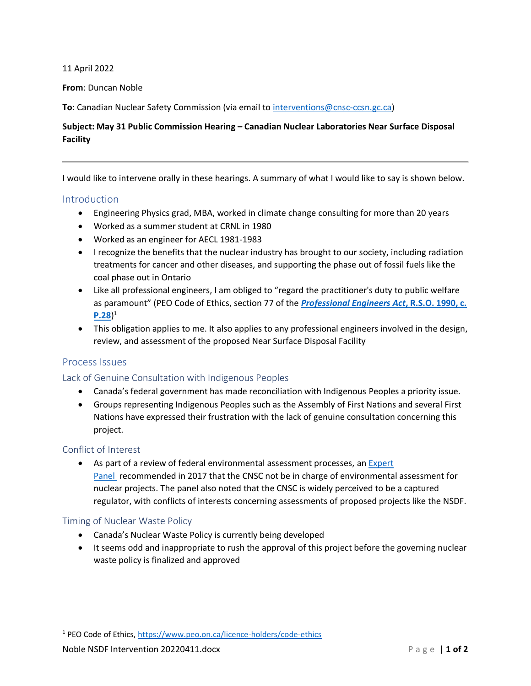11 April 2022

**From**: Duncan Noble

**To**: Canadian Nuclear Safety Commission (via email to [interventions@cnsc-ccsn.gc.ca\)](mailto:interventions@cnsc-ccsn.gc.ca)

## **Subject: May 31 Public Commission Hearing – Canadian Nuclear Laboratories Near Surface Disposal Facility**

I would like to intervene orally in these hearings. A summary of what I would like to say is shown below.

#### Introduction

- Engineering Physics grad, MBA, worked in climate change consulting for more than 20 years
- Worked as a summer student at CRNL in 1980
- Worked as an engineer for AECL 1981-1983
- I recognize the benefits that the nuclear industry has brought to our society, including radiation treatments for cancer and other diseases, and supporting the phase out of fossil fuels like the coal phase out in Ontario
- Like all professional engineers, I am obliged to "regard the practitioner's duty to public welfare as paramount" (PEO Code of Ethics, section 77 of the *[Professional Engineers Act](https://www.ontario.ca/laws/regulation/900941)***, R.S.O. 1990, c. [P.28](https://www.ontario.ca/laws/regulation/900941)**) 1
- This obligation applies to me. It also applies to any professional engineers involved in the design, review, and assessment of the proposed Near Surface Disposal Facility

## Process Issues

## Lack of Genuine Consultation with Indigenous Peoples

- Canada's federal government has made reconciliation with Indigenous Peoples a priority issue.
- Groups representing Indigenous Peoples such as the Assembly of First Nations and several First Nations have expressed their frustration with the lack of genuine consultation concerning this project.

#### Conflict of Interest

• As part of a review of federal environmental assessment processes, an [Expert](https://www.canada.ca/en/services/environment/conservation/assessments/environmental-reviews/environmental-assessment-processes/building-common-ground.html)  [Panel](https://www.canada.ca/en/services/environment/conservation/assessments/environmental-reviews/environmental-assessment-processes/building-common-ground.html) recommended in 2017 that the CNSC not be in charge of environmental assessment for nuclear projects. The panel also noted that the CNSC is widely perceived to be a captured regulator, with conflicts of interests concerning assessments of proposed projects like the NSDF.

#### Timing of Nuclear Waste Policy

- Canada's Nuclear Waste Policy is currently being developed
- It seems odd and inappropriate to rush the approval of this project before the governing nuclear waste policy is finalized and approved

<sup>1</sup> PEO Code of Ethics,<https://www.peo.on.ca/licence-holders/code-ethics>